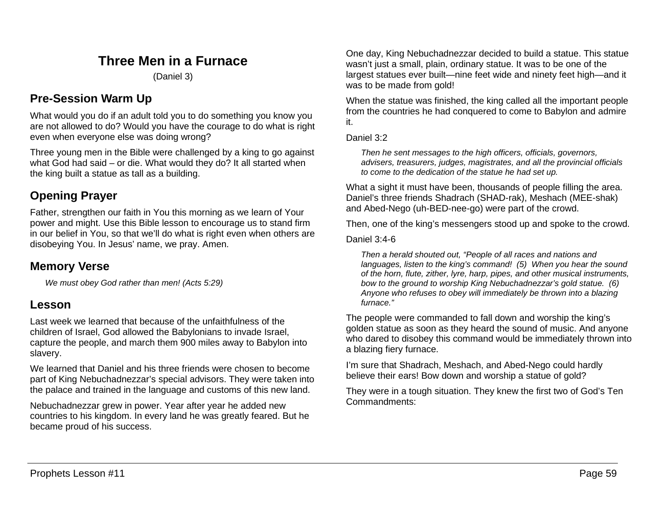# **Three Men in a Furnace**

(Daniel 3)

## **Pre-Session Warm Up**

What would you do if an adult told you to do something you know you are not allowed to do? Would you have the courage to do what is right even when everyone else was doing wrong?

Three young men in the Bible were challenged by a king to go against what God had said – or die. What would they do? It all started when the king built a statue as tall as a building.

# **Opening Prayer**

Father, strengthen our faith in You this morning as we learn of Your power and might. Use this Bible lesson to encourage us to stand firm in our belief in You, so that we'll do what is right even when others are disobeying You. In Jesus' name, we pray. Amen.

## **Memory Verse**

*We must obey God rather than men! (Acts 5:29)*

## **Lesson**

Last week we learned that because of the unfaithfulness of the children of Israel, God allowed the Babylonians to invade Israel, capture the people, and march them 900 miles away to Babylon into slavery.

We learned that Daniel and his three friends were chosen to become part of King Nebuchadnezzar's special advisors. They were taken into the palace and trained in the language and customs of this new land.

Nebuchadnezzar grew in power. Year after year he added new countries to his kingdom. In every land he was greatly feared. But he became proud of his success.

One day, King Nebuchadnezzar decided to build a statue. This statue wasn't just a small, plain, ordinary statue. It was to be one of the largest statues ever built—nine feet wide and ninety feet high—and it was to be made from gold!

When the statue was finished, the king called all the important people from the countries he had conquered to come to Babylon and admire it.

Daniel 3:2

*Then he sent messages to the high officers, officials, governors, advisers, treasurers, judges, magistrates, and all the provincial officials to come to the dedication of the statue he had set up.*

What a sight it must have been, thousands of people filling the area. Daniel's three friends Shadrach (SHAD-rak), Meshach (MEE-shak) and Abed-Nego (uh-BED-nee-go) were part of the crowd.

Then, one of the king's messengers stood up and spoke to the crowd.

Daniel 3:4-6

*Then a herald shouted out, "People of all races and nations and languages, listen to the king's command! (5) When you hear the sound of the horn, flute, zither, lyre, harp, pipes, and other musical instruments, bow to the ground to worship King Nebuchadnezzar's gold statue. (6) Anyone who refuses to obey will immediately be thrown into a blazing furnace."*

The people were commanded to fall down and worship the king's golden statue as soon as they heard the sound of music. And anyone who dared to disobey this command would be immediately thrown into a blazing fiery furnace.

I'm sure that Shadrach, Meshach, and Abed-Nego could hardly believe their ears! Bow down and worship a statue of gold?

They were in a tough situation. They knew the first two of God's Ten Commandments: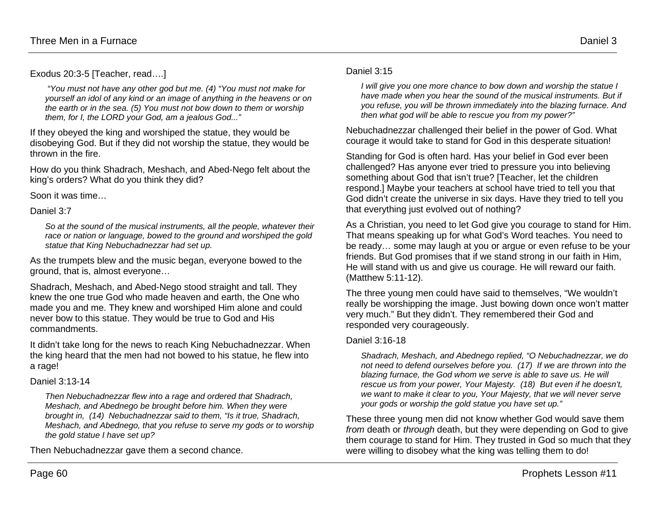Exodus 20:3-5 [Teacher, read….]

*"You must not have any other god but me. (4) "You must not make for yourself an idol of any kind or an image of anything in the heavens or on the earth or in the sea. (5) You must not bow down to them or worship them, for I, the LORD your God, am a jealous God..."*

If they obeyed the king and worshiped the statue, they would be disobeying God. But if they did not worship the statue, they would be thrown in the fire.

How do you think Shadrach, Meshach, and Abed-Nego felt about the king's orders? What do you think they did?

Soon it was time…

Daniel 3:7

*So at the sound of the musical instruments, all the people, whatever their race or nation or language, bowed to the ground and worshiped the gold statue that King Nebuchadnezzar had set up.*

As the trumpets blew and the music began, everyone bowed to the ground, that is, almost everyone…

Shadrach, Meshach, and Abed-Nego stood straight and tall. They knew the one true God who made heaven and earth, the One who made you and me. They knew and worshiped Him alone and could never bow to this statue. They would be true to God and His commandments.

It didn't take long for the news to reach King Nebuchadnezzar. When the king heard that the men had not bowed to his statue, he flew into a rage!

### Daniel 3:13-14

*Then Nebuchadnezzar flew into a rage and ordered that Shadrach, Meshach, and Abednego be brought before him. When they were brought in, (14) Nebuchadnezzar said to them, "Is it true, Shadrach, Meshach, and Abednego, that you refuse to serve my gods or to worship the gold statue I have set up?*

Then Nebuchadnezzar gave them a second chance.

#### Daniel 3:15

*I will give you one more chance to bow down and worship the statue I have made when you hear the sound of the musical instruments. But if you refuse, you will be thrown immediately into the blazing furnace. And then what god will be able to rescue you from my power?"*

Nebuchadnezzar challenged their belief in the power of God. What courage it would take to stand for God in this desperate situation!

Standing for God is often hard. Has your belief in God ever been challenged? Has anyone ever tried to pressure you into believing something about God that isn't true? [Teacher, let the children respond.] Maybe your teachers at school have tried to tell you that God didn't create the universe in six days. Have they tried to tell you that everything just evolved out of nothing?

As a Christian, you need to let God give you courage to stand for Him. That means speaking up for what God's Word teaches. You need to be ready… some may laugh at you or argue or even refuse to be your friends. But God promises that if we stand strong in our faith in Him, He will stand with us and give us courage. He will reward our faith. (Matthew 5:11-12).

The three young men could have said to themselves, "We wouldn't really be worshipping the image. Just bowing down once won't matter very much." But they didn't. They remembered their God and responded very courageously.

### Daniel 3:16-18

*Shadrach, Meshach, and Abednego replied, "O Nebuchadnezzar, we do not need to defend ourselves before you. (17) If we are thrown into the blazing furnace, the God whom we serve is able to save us. He will rescue us from your power, Your Majesty. (18) But even if he doesn't, we want to make it clear to you, Your Majesty, that we will never serve your gods or worship the gold statue you have set up."*

These three young men did not know whether God would save them *from* death or *through* death, but they were depending on God to give them courage to stand for Him. They trusted in God so much that they were willing to disobey what the king was telling them to do!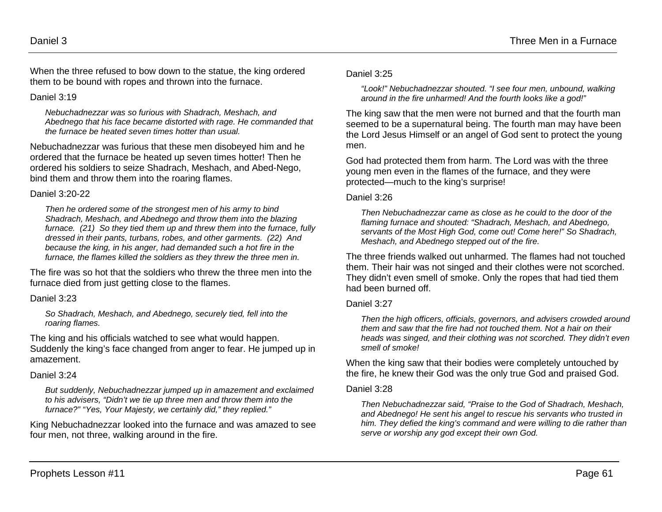When the three refused to bow down to the statue, the king ordered them to be bound with ropes and thrown into the furnace.

#### Daniel 3:19

*Nebuchadnezzar was so furious with Shadrach, Meshach, and Abednego that his face became distorted with rage. He commanded that the furnace be heated seven times hotter than usual.* 

Nebuchadnezzar was furious that these men disobeyed him and he ordered that the furnace be heated up seven times hotter! Then he ordered his soldiers to seize Shadrach, Meshach, and Abed-Nego, bind them and throw them into the roaring flames.

#### Daniel 3:20-22

*Then he ordered some of the strongest men of his army to bind Shadrach, Meshach, and Abednego and throw them into the blazing furnace. (21) So they tied them up and threw them into the furnace, fully dressed in their pants, turbans, robes, and other garments. (22) And because the king, in his anger, had demanded such a hot fire in the furnace, the flames killed the soldiers as they threw the three men in.*

The fire was so hot that the soldiers who threw the three men into the furnace died from just getting close to the flames.

#### Daniel 3:23

*So Shadrach, Meshach, and Abednego, securely tied, fell into the roaring flames.*

The king and his officials watched to see what would happen. Suddenly the king's face changed from anger to fear. He jumped up in amazement.

#### Daniel 3:24

*But suddenly, Nebuchadnezzar jumped up in amazement and exclaimed to his advisers, "Didn't we tie up three men and throw them into the furnace?" "Yes, Your Majesty, we certainly did," they replied."*

King Nebuchadnezzar looked into the furnace and was amazed to see four men, not three, walking around in the fire.

#### Daniel 3:25

*"Look!" Nebuchadnezzar shouted. "I see four men, unbound, walking around in the fire unharmed! And the fourth looks like a god!"*

The king saw that the men were not burned and that the fourth man seemed to be a supernatural being. The fourth man may have been the Lord Jesus Himself or an angel of God sent to protect the young men.

God had protected them from harm. The Lord was with the three young men even in the flames of the furnace, and they were protected—much to the king's surprise!

#### Daniel 3:26

*Then Nebuchadnezzar came as close as he could to the door of the flaming furnace and shouted: "Shadrach, Meshach, and Abednego, servants of the Most High God, come out! Come here!" So Shadrach, Meshach, and Abednego stepped out of the fire.*

The three friends walked out unharmed. The flames had not touched them. Their hair was not singed and their clothes were not scorched. They didn't even smell of smoke. Only the ropes that had tied them had been burned off.

#### Daniel 3:27

*Then the high officers, officials, governors, and advisers crowded around them and saw that the fire had not touched them. Not a hair on their heads was singed, and their clothing was not scorched. They didn't even smell of smoke!*

When the king saw that their bodies were completely untouched by the fire, he knew their God was the only true God and praised God.

#### Daniel 3:28

*Then Nebuchadnezzar said, "Praise to the God of Shadrach, Meshach, and Abednego! He sent his angel to rescue his servants who trusted in him. They defied the king's command and were willing to die rather than serve or worship any god except their own God.*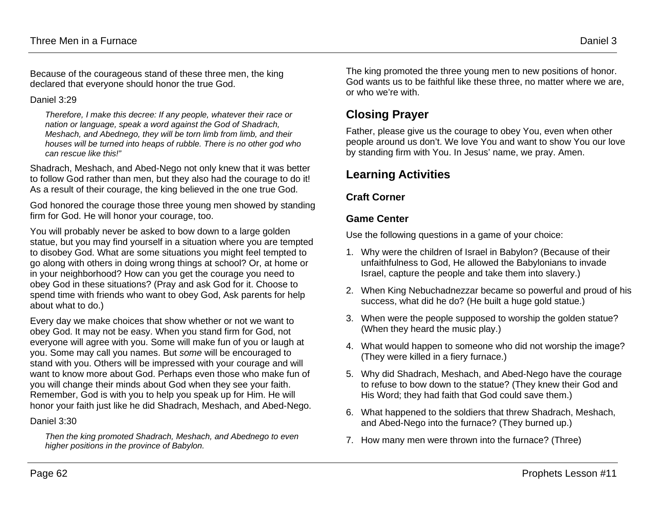Because of the courageous stand of these three men, the king declared that everyone should honor the true God.

#### Daniel 3:29

*Therefore, I make this decree: If any people, whatever their race or nation or language, speak a word against the God of Shadrach, Meshach, and Abednego, they will be torn limb from limb, and their houses will be turned into heaps of rubble. There is no other god who can rescue like this!"*

Shadrach, Meshach, and Abed-Nego not only knew that it was better to follow God rather than men, but they also had the courage to do it! As a result of their courage, the king believed in the one true God.

God honored the courage those three young men showed by standing firm for God. He will honor your courage, too.

You will probably never be asked to bow down to a large golden statue, but you may find yourself in a situation where you are tempted to disobey God. What are some situations you might feel tempted to go along with others in doing wrong things at school? Or, at home or in your neighborhood? How can you get the courage you need to obey God in these situations? (Pray and ask God for it. Choose to spend time with friends who want to obey God, Ask parents for help about what to do.)

Every day we make choices that show whether or not we want to obey God. It may not be easy. When you stand firm for God, not everyone will agree with you. Some will make fun of you or laugh at you. Some may call you names. But *some* will be encouraged to stand with you. Others will be impressed with your courage and will want to know more about God. Perhaps even those who make fun of you will change their minds about God when they see your faith. Remember, God is with you to help you speak up for Him. He will honor your faith just like he did Shadrach, Meshach, and Abed-Nego.

#### Daniel 3:30

*Then the king promoted Shadrach, Meshach, and Abednego to even higher positions in the province of Babylon.*

The king promoted the three young men to new positions of honor. God wants us to be faithful like these three, no matter where we are, or who we're with.

# **Closing Prayer**

Father, please give us the courage to obey You, even when other people around us don't. We love You and want to show You our love by standing firm with You. In Jesus' name, we pray. Amen.

## **Learning Activities**

### **Craft Corner**

### **Game Center**

Use the following questions in a game of your choice:

- 1. Why were the children of Israel in Babylon? (Because of their unfaithfulness to God, He allowed the Babylonians to invade Israel, capture the people and take them into slavery.)
- 2. When King Nebuchadnezzar became so powerful and proud of his success, what did he do? (He built a huge gold statue.)
- 3. When were the people supposed to worship the golden statue? (When they heard the music play.)
- 4. What would happen to someone who did not worship the image? (They were killed in a fiery furnace.)
- 5. Why did Shadrach, Meshach, and Abed-Nego have the courage to refuse to bow down to the statue? (They knew their God and His Word; they had faith that God could save them.)
- 6. What happened to the soldiers that threw Shadrach, Meshach, and Abed-Nego into the furnace? (They burned up.)
- 7. How many men were thrown into the furnace? (Three)